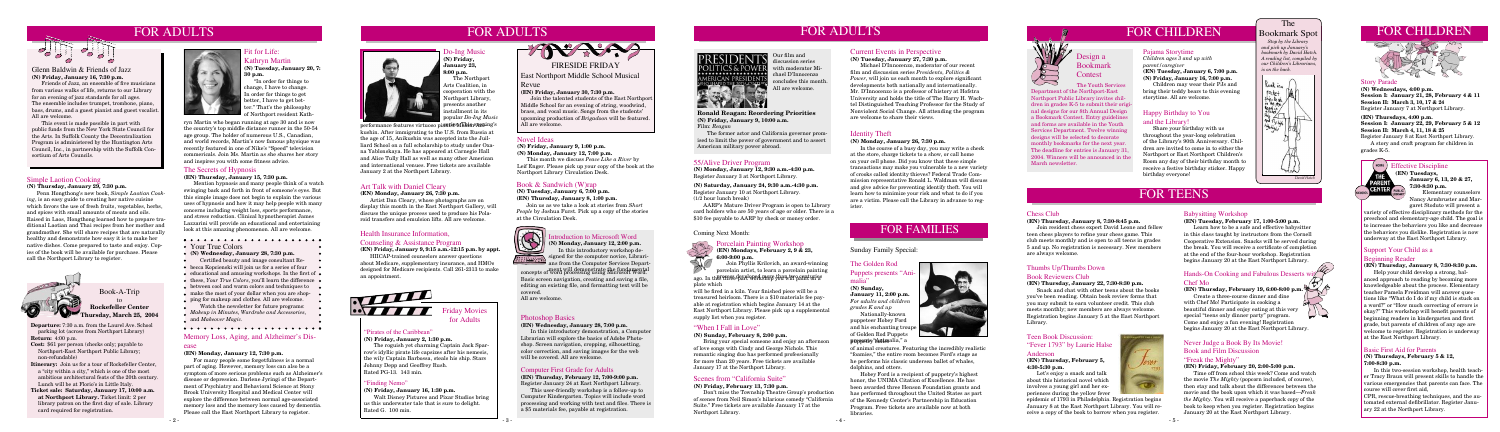# FOR ADULTS

# $\sim$ T OUT

**Departure:** 7:30 a.m. from the Laurel Ave. School parking lot (across from Northport Library) **Return:** 4:00 p.m.

- **Cost:** \$61 per person (checks only; payable to Northport-East Northport Public Library; non-refundable)
- **Itinerary:** Join us for a tour of Rockefeller Center, a "city within a city," which is one of the most ambitious architectural feats of the 20th century. Lunch will be at Florio's in Little Italy.
- **Ticket sale: Saturday, January 17, 10:00 a.m. at Northport Library.** Ticket limit: 2 per library patron on the first day of sale. Library card required for registration.



Book-A-Trip to **Rockefeller Center Thursday, March 25, 2004**

# FOR ADULTS

### Health Insurance Information,

### Counseling & Assistance Program

**(EN) Friday, January 9, 9:15 a.m.-12:15 p.m. by appt.**

HIICAP-trained counselors answer questions about Medicare, supplementary insurance, and HMOs designed for Medicare recipients. Call 261-2313 to make an appointment.



# FOR TEENS

### The Bookmark Spot

 *Stop by the Library and pick up January's bookmark by David Hatch. A reading list, compiled by our Children's Librarians, is on the back.*



# FOR CHILDREN Bookmark Spot FOR CHILDREN



# Fit for Life:

Kathryn Martin **(N) Tuesday, January 20, 7: 30 p.m.**

 "In order for things to change, I have to change. In order for things to get better, I have to get better." That's the philosophy of Northport resident Kath-

### Computer First Grade for Adults

**(EN) Thursday, February 12, 7:00-9:00 p.m.** Register January 24 at East Northport Library.

This user-friendly workshop is a follow-up to Computer Kindergarten. Topics will include word processing and working with text and files. There is a \$5 materials fee, payable at registration.

# **PRESIDENTS** OLITICS & POWER **MERICAN PRESIDENT**

### Never Judge a Book By Its Movie! Book and Film Discussion

### "Freak the Mighty"

### **(EN) Friday, February 20, 2:00-5:00 p.m.**

 Time off from school this week? Come and watch the movie *The Mighty* (popcorn included, of course), then stay and talk about the differences between the movie and the book upon which it was based—*Freak the Mighty*. You will receive a paperback copy of the book to keep when you register. Registration begins January 20 at the East Northport Library.

### **(N) Wednesday, January 28, 7:30 p.m.**

- Certified beauty and image consultant Re-
- $\bullet$  becca Kopcienski will join us for a series of four  $\bullet$
- $\bullet$  educational and amusing workshops. In the first of  $\bullet$
- these, *Your True Colors*, you'll learn the difference •
- $\bullet$  between cool and warm colors and techniques to  $\bullet$
- make the most of your dollar when you are shop-
- ping for makeup and clothes. All are welcome. Watch the newsletter for future programs:

*Makeup in Minutes*, *Wardrobe and Accessories*, and *Makeover Magic*.

### Story Parade

In the course of a busy day, you may write a check at the store, charge tickets to a show, or call home on your cell phone. Did you know that these simple transactions may make you vulnerable to a new variety of crooks called identity thieves? Federal Trade Commission representative Ronald L. Waldman will discuss and give advice for preventing identify theft. You will learn how to minimize your risk and what to do if you are a victim. Please call the Library in advance to register

**(N) Wednesdays, 4:00 p.m. Session I: January 21, 28, February 4 & 11 Session II: March 3, 10, 17 & 24** Register January 7 at Northport Library.

### **(EN) Thursdays, 4:00 p.m.**

**Session I: January 22, 29, February 5 & 12 Session II: March 4, 11, 18 & 25** Register January 8 at East Northport Library.

 A story and craft program for children in grades K-5.



### Pajama Storytime

*Children ages 3 and up with parent/caregiver* **(EN) Tuesday, January 6, 7:00 p.m. (N) Friday, January 16, 7:00 p.m.**

 Children may wear their PJs and bring their teddy bears to this evening storytime. All are welcome.

### Novel Ideas

**(N) Friday, January 9, 1:00 p.m. (N) Monday, January 12, 7:00 p.m.**

 This month we discuss *Peace Like a River* by Leif Enger. Please pick up your copy of the book at the Northport Library Circulation Desk.

### Book & Sandwich (W)rap

**(N) Tuesday, January 6, 7:00 p.m. (EN) Thursday, January 8, 1:00 p.m.**

Join us as we take a look at stories from *Short People* by Joshua Furst. Pick up a copy of the stories at the Circulation Desk.



### Introduction to Microsoft Word

### Photoshop Basics

### **(EN) Wednesday, January 28, 7:00 p.m.**

In this introductory demonstration, a Computer Librarian will explore the basics of Adobe Photoshop. Screen navigation, cropping, silhouetting, color correction, and saving images for the web will be covered. All are welcome.



East Northport Middle School Musical

### Revue

**(EN) Friday, January 30, 7:30 p.m.**

Music **(N) Friday, January 23, 8:00 p.m.**

> Join the talented students of the East Northport Middle School for an evening of string, woodwind, brass, and vocal music. Songs from the students' upcoming production of *Brigadoon* will be featured. All are welcome.

### Simple Laotion Cooking

**(N) Thursday, January 29, 7:30 p.m.**

 Penn Hongthong's new book, *Simple Laotian Cooking*, is an easy guide to creating her native cuisine which favors the use of fresh fruits, vegetables, herbs and spices with small amounts of meats and oils. Raised in Laos, Hongthong learned how to prepare traditional Laotian and Thai recipes from her mother and grandmother. She will share recipes that are naturally healthy and demonstrate how easy it is to make her native dishes. Come prepared to taste and enjoy. Copies of the book will be available for purchase. Please call the Northport Library to register.



### Hands-On Cooking and Fabulous Desserts with Chef Mo

### Scenes from "California Suite"

### **(N) Friday, February 13, 7:30 p.m.**

Don't miss the Township Theatre Group's production of scenes from Neil Simon's hilarious comedy "California Suite." Free tickets are available January 17 at the Northport Library.

### The Secrets of Hypnosis

**(EN) Thursday, January 15, 7:30 p.m.**

Mention hypnosis and many people think of a watch swinging back and forth in front of someone's eyes. But this simple image does not begin to explain the various uses of hypnosis and how it may help people with many concerns including weight loss, sports performance, and stress reduction. Clinical hypnotherapist James Lazzarini will provide an educational and entertaining look at this amazing phenomenon. All are welcome.

### 

### • Your True Colors

### Identity Theft

### **(N) Monday, January 26, 7:30 p.m.**

The Youth Service Department of the Northport-East Northport Public Library invites children in grades K-5 to submit their original designs for our 8th Annual Design a Bookmark Contest. Entry guidelines and forms are available in the Youth Services Department. Twelve winning designs will be selected to decorate monthly bookmarks for the next year. The deadline for entries is January 31, 2004. Winners will be announced in the March newsletter.

Design a Bookmark **Contest** 

**January 11, 2:00 p.m.** *For adults and children grades K and up* Nationally-known puppeteer Hobey Ford and his enchanting troupe

Glenn Baldwin & Friends of Jazz **(N) Friday, January 16, 7:30 p.m.**

Friends of Jazz, an ensemble of five musicians from various walks of life, returns to our Library for an evening of jazz standards for all ages. The ensemble includes trumpet, trombone, piano, bass, drums, and a guest pianist and guest vocalist. All are welcome.

 This event is made possible in part with public funds from the New York State Council for the Arts. In Suffolk County the Decentralization Program is administered by the Huntington Arts Council, Inc., in partnership with the Suffolk Consortium of Arts Councils.

### **(N) Sunday, February 8, 2:00 p.m.**

performance features virtuoso pi<del>anist Maxim Ann</del>ing's kushin. After immigrating to the U.S. from Russia at the age of 15, Anikushin was accepted into the Juilliard School on a full scholarship to study under Oxana Yablonskaya. He has appeared at Carnegie Hall and Alice Tully Hall as well as many other American and international venues. Free tickets are available January 2 at the Northport Library.

> pr<del>essents Baller</del>alia," a of animal creatures. Featuring the incredibly realistic "foamies," the entire room becomes Ford's stage as he performs his classic undersea ballet of whales, dolphins, and otters.

Bring your special someone and enjoy an afternoon of love songs with Cindy and George Nichols. This romantic singing duo has performed professionally for more than 20 years. Free tickets are available January 17 at the Northport Library.

### Memory Loss, Aging, and Alzheimer's Dis-

### ease

### ago. In this these developed shop yba will part un es plate which

### **(EN) Monday, January 12, 7:30 p.m.**

 For many people some forgetfulness is a normal part of aging. However, memory loss can also be a symptom of more serious problems such as Alzheimer's disease or depression. Darlene Jyringi of the Department of Psychiatry and Behavioral Science at Stony Brook University Hospital and Medical Center will explore the difference between normal age-associated memory loss and the memory loss caused by dementia. Please call the East Northport Library to register.



### 55/Alive Driver Program

**(N) Monday, January 12, 9:30 a.m.-4:30 p.m.** Register January 3 at Northport Library.

**(N) Saturday, January 24, 9:30 a.m.-4:30 p.m.** Register January 10 at Northport Library. (1/2 hour lunch break)

 AARP's Mature Driver Program is open to Library card holders who are 50 years of age or older. There is a \$10 fee payable to AARP by check or money order.

Our film and discussion series with moderator Michael D'Innocenzo concludes this month. All are welcome.

**Ronald Reagan: Reordering Priorities (N) Friday, January 9, 10:00 a.m.** Film: *Reagan*

**(N) Monday, January 12, 2:00 p.m.** In this introductory workshop designed for the computer novice, Librarians from the Computer Services Department will demonstrate the fundamental concepts of word processing using Microsoft Word. Basic screen navigation, creating and saving a file, editing an existing file, and formatting text will be covered.

All are welcome

 The former actor and California governor promised to limit the power of government and to assert American military power abroad.

 The Northport Arts Coalition, in cooperation with the Northport Library, presents another nstallment in its popular *Do-Ing Music* 

### Chess Club

**(EN) Thursday, January 8, 7:30-8:45 p.m.**

 Join resident chess expert David Leone and fellow teen chess players to refine your chess game. This club meets monthly and is open to all teens in grades 5 and up. No registration is necessary. New members are always welcome.

### Teen Book Discussion: "Fever 1793" by Laurie Halse Anderson

### **(EN) Thursday, February 5, 4:30-5:30 p.m.**

 Let's enjoy a snack and talk about this historical novel which involves a young girl and her experiences during the yellow fever

epidemic of 1793 in Philadelphia. Registration begins January 8 at the East Northport Library. You will receive a copy of the book to borrow when you register.

### Babysitting Workshop

**(EN) Tuesday, February 17, 1:00-5:00 p.m.**

 Learn how to be a safe and effective babysitter in this class taught by instructors from the Cornell Cooperative Extension. Snacks will be served during the break. You will receive a certificate of completion at the end of the four-hour workshop. Registration begins January 20 at the East Northport Library.

### **(EN) Thursday, February 19, 6:00-8:00 p.m.**

 Create a three-course dinner and dine with Chef Mo! Participate in cooking a beautiful dinner and enjoy eating at this very  $\cup\cup$ special "teens only dinner party" program. Come and enjoy a fun evening! Registration begins January 20 at the East Northport Library.

## Thumbs Up/Thumbs Down

### Book Reviewers Club

**(EN) Thursday, January 22, 7:30-8:30 p.m.**

 Snack and chat with other teens about the books you've been reading. Obtain book review forms that you may submit to earn volunteer credit. This club meets monthly; new members are always welcome. Registration begins January 5 at the East Northport Library.

### Effective Discipline **(EN) Tuesdays,**

**January 6, 13, 20 & 27, 7:30-8:30 p.m.** Elementary counselors

Nancy Armbruster and Margaret Stoduto will present a

variety of effective disciplinary methods for the preschool and elementary-age child. The goal is to increase the behaviors you like and decrease the behaviors you dislike. Registration is now underway at the East Northport Library.

# Support Your Child as a

### Beginning Reader

**(EN) Thursday, January 8, 7:30-8:30 p.m.**

 Help your child develop a strong, balanced approach to reading by becoming more knowledgeable about the process. Elementary teacher Pamela Freidman will answer questions like "What do I do if my child is stuck on a word?" or "How much correcting of errors is okay?" This workshop will benefit parents of beginning readers in kindergarten and first grade, but parents of children of any age are welcome to register. Registration is underway at the East Northport Library.

### Basic First Aid for Parents

### **(N) Thursdays, February 5 & 12, 7:00-8:30 p.m.**

 In this two-session workshop, health teacher Tracy Braun will present skills to handle the various emergencies that parents can face. The course will cover first aid,

CPR, rescue-breathing techniques, and the automated external defibrillator. Register January 22 at the Northport Library.



### "Finding Nemo"

### **(N) Friday, January 16, 1:30 p.m.**

Walt Disney Pictures and Pixar Studios bring us this underwater tale that is sure to delight. Rated G. 100 min.



for Adults

### "Pirates of the Caribbean"

### **(N) Friday, January 2, 1:30 p.m.**

The roguish yet charming Captain Jack Sparrow's idyllic pirate life capsizes after his nemesis, the wily Captain Barbossa, steals his ship. Stars Johnny Depp and Geoffrey Rush. Rated PG-13. 143 min.

# FOR FAMILIES

### The Golden Rod Puppets presents "Ani malia"

### **(N) Sunday,**

of Golden Rod Puppets



FOR ADULTS

### Current Events in Perspective

### **(N) Tuesday, January 27, 7:30 p.m.**

 Michael D'Innocenzo, moderator of our recent film and discussion series *Presidents, Politics & Power*, will join us each month to explore significant developments both nationally and internationally. Mr. D'Innocenzo is a professor of history at Hofstra University and holds the title of The Harry H. Wachtel Distinguished Teaching Professor for the Study of Nonviolent Social Change. All attending the program are welcome to share their views.

### Porcelain Painting Workshop **(EN) Mondays, February 2, 9 & 23, 6:00-9:00 p.m.**

Join Phyllis Krilovich, an award-winning porcelain artist, to learn a porcelain painting

> Hobey Ford is a recipient of puppetry's highest honor, the UNIMA Citation of Excellence. He has been awarded three Henson Foundation grants and has performed throughout the United States as part of the Kennedy Center's Partnership in Education Program. Free tickets are available now at both libraries.



Sunday Family Special:

will be fired in a kiln. Your finished piece will be a treasured heirloom. There is a \$10 materials fee payable at registration which begins January 14 at the East Northport Library. Please pick up a supplemental supply list when you register.

### "When I Fall in Love"

### Coming Next Month:



### Happy Birthday to You and the Library!

 Share your birthday with us throughout the year-long celebration of the Library's 90th Anniversary. Children are invited to come in to either the Northport or East Northport Children's Room any day of their birthday month to receive a festive birthday sticker. Happy birthday everyone!

### Art Talk with Daniel Cleary

### **(EN) Monday, January 26, 7:30 p.m.**

 Artist Dan Cleary, whose photographs are on display this month in the East Northport Gallery, will discuss the unique process used to produce his Polaroid transfers and emulsion lifts. All are welcome.

ryn Martin who began running at age 30 and is now the country's top middle distance runner in the 50-54 age group. The holder of numerous U.S., Canadian, and world records, Martin's now famous physique was recently featured in one of Nike's "Speed" television commericals. Join Ms. Martin as she shares her story and inspires you with some fitness advice.